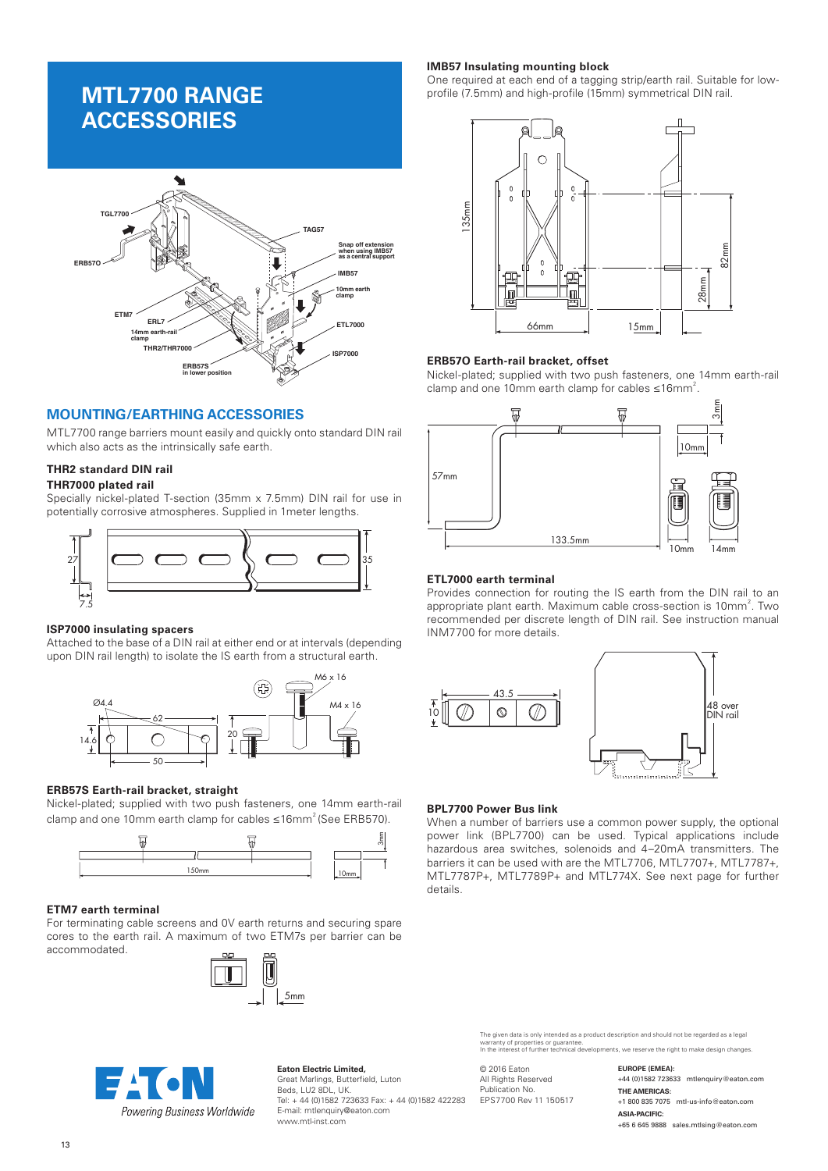# **MTL7700 RANGE ACCESSORIES**



# **MOUNTING/EARTHING ACCESSORIES**

MTL7700 range barriers mount easily and quickly onto standard DIN rail which also acts as the intrinsically safe earth.

# **THR2 standard DIN rail**

# **THR7000 plated rail**

Specially nickel-plated T-section (35mm x 7.5mm) DIN rail for use in potentially corrosive atmospheres. Supplied in 1meter lengths.



## **ISP7000 insulating spacers**

Attached to the base of a DIN rail at either end or at intervals (depending upon DIN rail length) to isolate the IS earth from a structural earth.



## **ERB57S Earth-rail bracket, straight**

Nickel-plated; supplied with two push fasteners, one 14mm earth-rail clamp and one 10mm earth clamp for cables  $\leq 16$ mm<sup>2</sup> (See ERB570).



## **ETM7 earth terminal**

For terminating cable screens and 0V earth returns and securing spare cores to the earth rail. A maximum of two ETM7s per barrier can be accommodated.





**Eaton Electric Limited,** Great Marlings, Butterfield, Luton Beds, LU2 8DL, UK. Tel: + 44 (0)1582 723633 Fax: + 44 (0)1582 422283 E-mail: mtlenquiry@eaton.com www.mtl-inst.com

## **IMB57 Insulating mounting block**

One required at each end of a tagging strip/earth rail. Suitable for lowprofile (7.5mm) and high-profile (15mm) symmetrical DIN rail.



#### **ERB57O Earth-rail bracket, offset**

Nickel-plated; supplied with two push fasteners, one 14mm earth-rail clamp and one 10mm earth clamp for cables  $\leq 16$ mm<sup>2</sup>.



#### **ETL7000 earth terminal**

Provides connection for routing the IS earth from the DIN rail to an appropriate plant earth. Maximum cable cross-section is 10mm<sup>2</sup>. Two recommended per discrete length of DIN rail. See instruction manual INM7700 for more details.



#### **BPL7700 Power Bus link**

When a number of barriers use a common power supply, the optional power link (BPL7700) can be used. Typical applications include hazardous area switches, solenoids and 4–20mA transmitters. The barriers it can be used with are the MTL7706, MTL7707+, MTL7787+, MTL7787P+, MTL7789P+ and MTL774X. See next page for further details.

The given data is only intended as a product description and should not be regarded as a legal<br>warranty of properties or guarantee.<br>In the interest of further technical developments, we reserve the right to make design cha

© 2016 Eaton All Rights Reserved Publication No. EPS7700 Rev 11 150517 **EUROPE (EMEA):** +44 (0)1582 723633 mtlenquiry@eaton.com **THE AMERICAS:** +1 800 835 7075 mtl-us-info@eaton.com **ASIA-PACIFIC:** +65 6 645 9888 sales.mtlsing@eaton.com